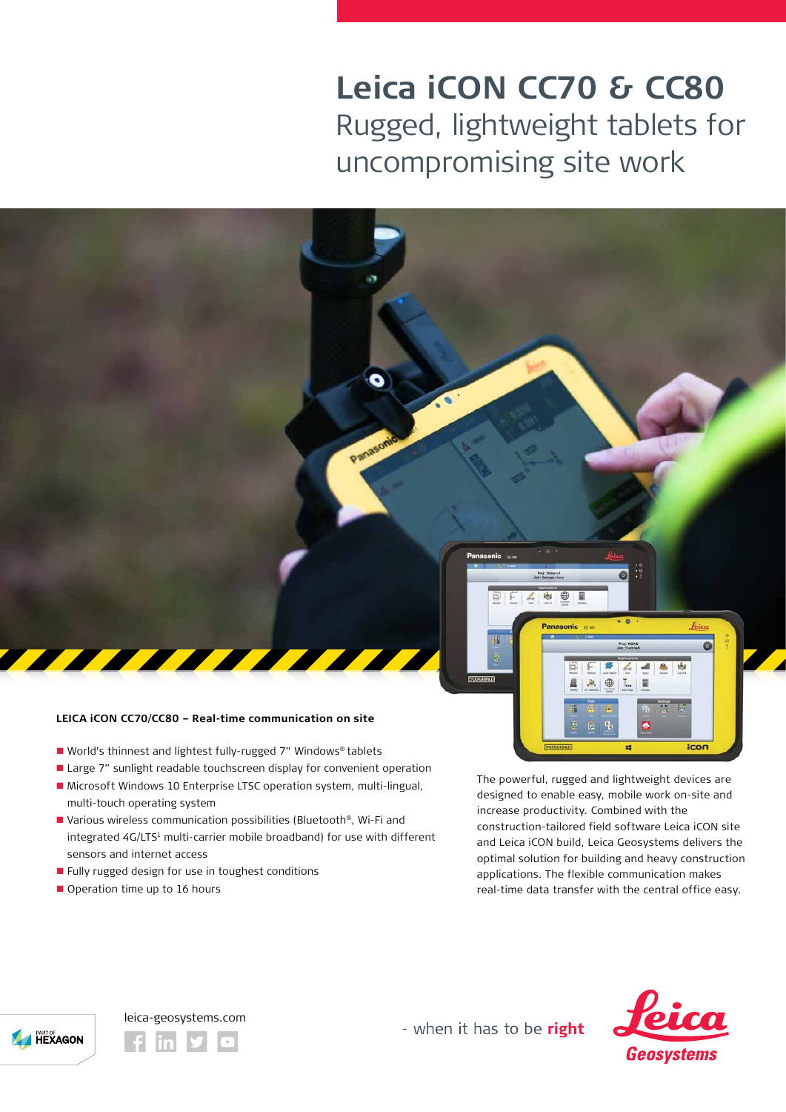## **Leica iCON CC70 & CC80** Rugged, lightweight tablets for uncompromising site work

## **LEICA iCON CC70/CC80 – Real-time communication on site**

- World's thinnest and lightest fully-rugged 7" Windows® tablets
- Large 7" sunlight readable touchscreen display for convenient operation

Panasoni

- Microsoft Windows 10 Enterprise LTSC operation system, multi-lingual, multi-touch operating system
- Various wireless communication possibilities (Bluetooth®, Wi-Fi and integrated 4G/LTS<sup>1</sup> multi-carrier mobile broadband) for use with different sensors and internet access
- **Fully rugged design for use in toughest conditions**
- Operation time up to 16 hours

The powerful, rugged and lightweight devices are designed to enable easy, mobile work on-site and increase productivity. Combined with the construction-tailored field software Leica iCON site and Leica iCON build, Leica Geosystems delivers the optimal solution for building and heavy construction applications. The flexible communication makes real-time data transfer with the central office easy.

 $\ddot{\cdot}$ a

Ł,

e.

(重 T. 眉 A 出

icon



leica-geosystems.com

- when it has to be right

ō

喇

В

ü.